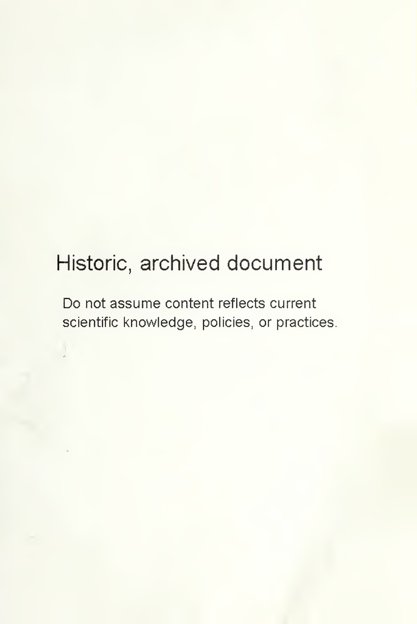## Historic, archived document

Do not assume content reflects current scientific knowledge, policies, or practices.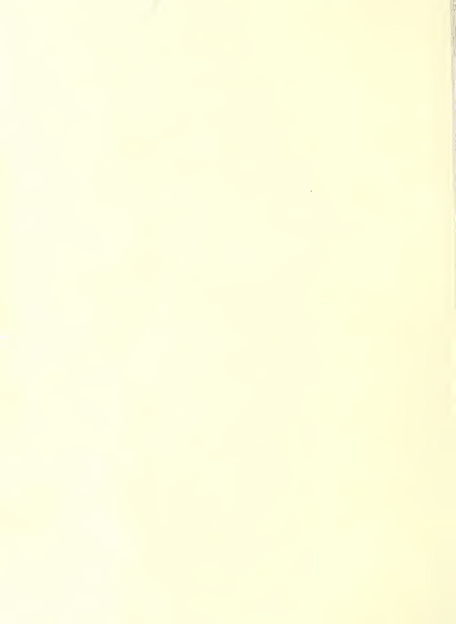$\sim 10^{-10}$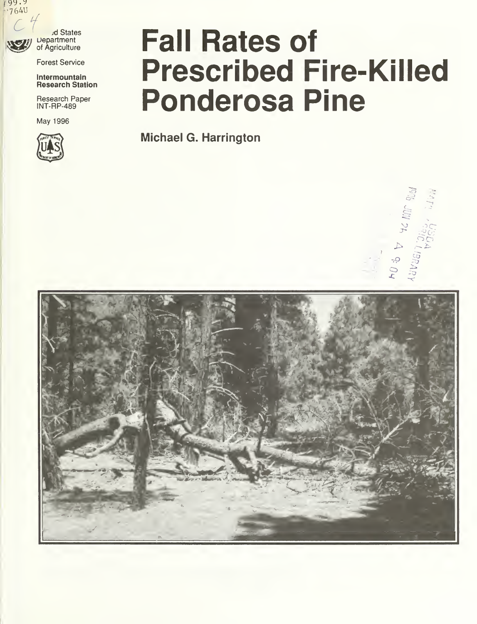**d** States

 $\downarrow$ 

 $^{199.9}_{7640}$ 

**Department** of Agriculture

**Forest Service** 

Intermountain **Research Station** 

**Research Paper INT-RP-489** 

May 1996



# **Fall Rates of Prescribed Fire-Killed Ponderosa Pine**

**Michael G. Harrington** 



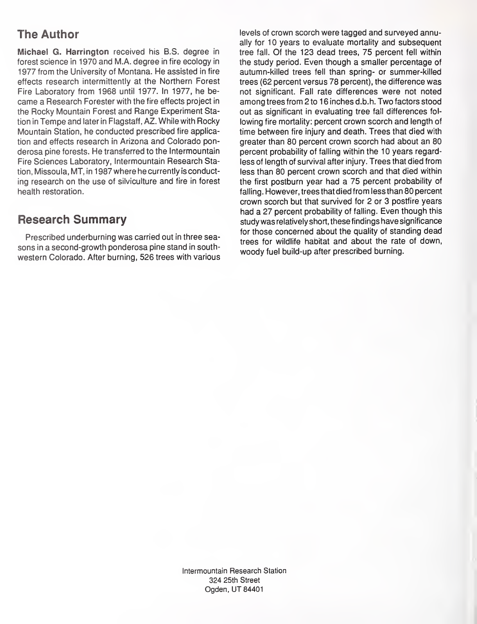#### The Author

Michael G. Harrington received his B.S. degree in forest science in 1970 and M.A. degree in fire ecology in 1977 from the University of Montana. He assisted in fire effects research intermittently at the Northern Forest Fire Laboratory from 1968 until 1977. In 1977, he became a Research Forester with the fire effects project in the Rocky Mountain Forest and Range Experiment Station in Tempe and later in Flagstaff, AZ. While with Rocky Mountain Station, he conducted prescribed fire application and effects research in Arizona and Colorado ponderosa pine forests. He transferred to the Intermountain Fire Sciences Laboratory, Intermountain Research Station, Missoula, MT, in 1987 where he currently is conducting research on the use of silviculture and fire in forest health restoration.

#### Research Summary

Prescribed underburning was carried out in three sea sons in a second-growth ponderosa pine stand in southwestern Colorado. After burning, 526 trees with various

levels of crown scorch were tagged and surveyed annually for 10 years to evaluate mortality and subsequent tree fall. Of the 123 dead trees, 75 percent fell within the study period. Even though a smaller percentage of autumn-killed trees fell than spring- or summer-killed trees (62 percent versus 78 percent), the difference was not significant. Fall rate differences were not noted among trees from 2 to <sup>1</sup>6 inches d.b.h. Two factors stood out as significant in evaluating tree fall differences fol lowing fire mortality: percent crown scorch and length of time between fire injury and death. Trees that died with greater than 80 percent crown scorch had about an 80 percent probability of falling within the 10 years regardless of length of survival after injury. Trees that died from less than 80 percent crown scorch and that died within the first postburn year had a 75 percent probability of falling. However, trees that died from less than 80 percent crown scorch but that survived for 2 or 3 postfire years had a 27 percent probability of falling. Even though this study was relatively short, these findings have significance for those concerned about the quality of standing dead trees for wildlife habitat and about the rate of down, woody fuel build-up after prescribed burning.

Intermountain Research Station 324 25th Street Ogden, UT 84401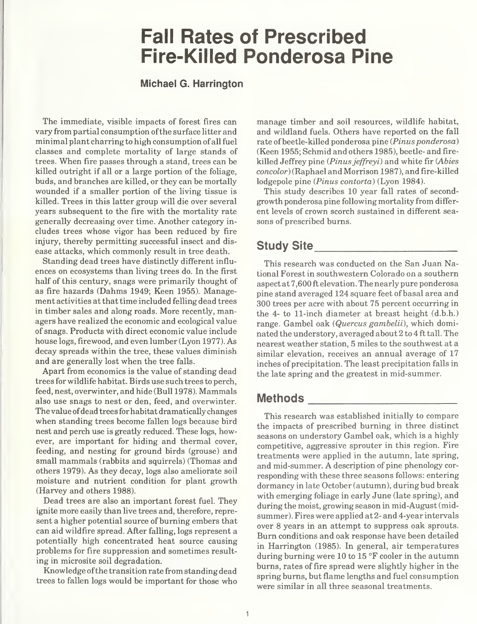### Fall Rates of Prescribed Fire-Killed Ponderosa Pine

#### Michael G. Harrington

The immediate, visible impacts of forest fires can vary from partial consumption ofthe surface litter and minimal plant charring to high consumption ofall fuel classes and complete mortality of large stands of trees. When fire passes through a stand, trees can be killed outright if all or a large portion of the foliage, buds, and branches are killed, or they can be mortally wounded if a smaller portion of the living tissue is killed. Trees in this latter group will die over several years subsequent to the fire with the mortality rate generally decreasing over time. Another category in cludes trees whose vigor has been reduced by fire injury, thereby permitting successful insect and dis ease attacks, which commonly result in tree death.

Standing dead trees have distinctly different influ ences on ecosystems than living trees do. In the first half of this century, snags were primarily thought of as fire hazards (Dahms 1949; Keen 1955). Management activities at that time included felling dead trees in timber sales and along roads. More recently, managers have realized the economic and ecological value of snags. Products with direct economic value include house logs, firewood, and even lumber (Lyon 1977). As decay spreads within the tree, these values diminish and are generally lost when the tree falls.

Apart from economics is the value of standing dead trees for wildlife habitat. Birds use such trees to perch, feed, nest, overwinter, and hide (Bull 1978). Mammals also use snags to nest or den, feed, and overwinter. The value ofdead trees for habitat dramatically changes when standing trees become fallen logs because bird nest and perch use is greatly reduced. These logs, however, are important for hiding and thermal cover, feeding, and nesting for ground birds (grouse) and small mammals (rabbits and squirrels) (Thomas and others 1979). As they decay, logs also ameliorate soil moisture and nutrient condition for plant growth (Harvey and others 1988).

Dead trees are also an important forest fuel. They ignite more easily than live trees and, therefore, repre sent a higher potential source of burning embers that can aid wildfire spread. After falling, logs represent a potentially high concentrated heat source causing problems for fire suppression and sometimes resulting in microsite soil degradation.

Knowledge ofthe transition rate from standing dead trees to fallen logs would be important for those who manage timber and soil resources, wildlife habitat, and wildland fuels. Others have reported on the fall rate of beetle-killed ponderosa pine (Pinus ponderosa) (Keen 1955; Schmid and others 1985), beetle- and fire killed Jeffrey pine (Pinus jeffreyi) and white fir (Abies concolor) (Raphael and Morrison 1987), and fire-killed lodgepole pine (Pinus contorta) (Lyon 1984).

This study describes 10 year fall rates of secondgrowth ponderosa pine following mortality from differ ent levels of crown scorch sustained in different sea sons of prescribed burns.

#### Study Site

This research was conducted on the San Juan National Forest in southwestern Colorado on a southern aspect at 7,600 ft elevation. The nearly pure ponderosa pine stand averaged 124 square feet of basal area and 300 trees per acre with about 75 percent occurring in the 4- to 11-inch diameter at breast height (d.b.h.) range. Gambel oak (Quercus gambelii), which dominated the understory, averaged about 2 to 4 ft tall. The nearest weather station, 5 miles to the southwest at a similar elevation, receives an annual average of 17 inches of precipitation. The least precipitation falls in the late spring and the greatest in mid-summer.

#### **Methods**

This research was established initially to compare the impacts of prescribed burning in three distinct seasons on understory Gambel oak, which is a highly competitive, aggressive sprouter in this region. Fire treatments were applied in the autumn, late spring, and mid-summer. A description of pine phenology cor responding with these three seasons follows: entering dormancy in late October (autumn), during bud break with emerging foliage in early June (late spring), and during the moist, growing season in mid-August (midsummer). Fires were applied at 2- and 4-year intervals over 8 years in an attempt to suppress oak sprouts. Burn conditions and oak response have been detailed in Harrington (1985). In general, air temperatures during burning were 10 to 15 °F cooler in the autumn burns, rates of fire spread were slightly higher in the spring burns, but flame lengths and fuel consumption were similar in all three seasonal treatments.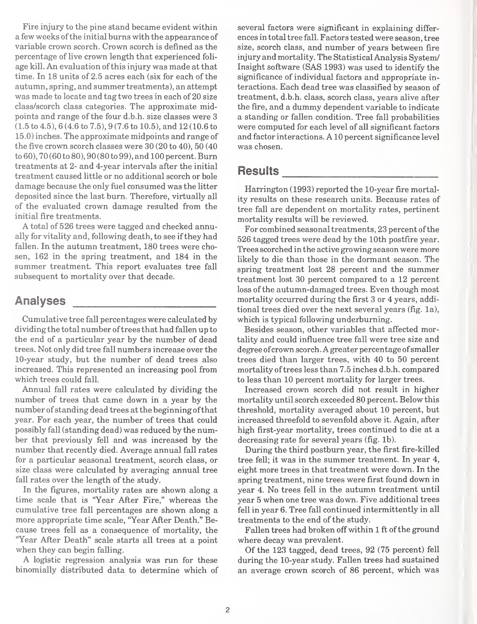Fire injury to the pine stand became evident within a few weeks ofthe initial burns with the appearance of variable crown scorch. Crown scorch is defined as the percentage of live crown length that experienced foli age kill. An evaluation of this injury was made at that time. In 18 units of 2.5 acres each (six for each of the autumn, spring, and summer treatments), an attempt was made to locate and tag two trees in each of 20 size class/scorch class categories. The approximate midpoints and range of the four d.b.h. size classes were 3 (1.5 to 4.5), 6 (4.6 to 7.5), 9 (7.6 to 10.5), and 12 (10.6 to 15.0) inches. The approximate midpoints and range of the five crown scorch classes were 30 (20 to 40), 50 (40 to 60), 70 (60 to 80), 90 (80 to 99), and 100 percent. Burn treatments at 2- and 4-year intervals after the initial treatment caused little or no additional scorch or bole damage because the only fuel consumed was the litter deposited since the last burn. Therefore, virtually all of the evaluated crown damage resulted from the initial fire treatments.

A total of 526 trees were tagged and checked annually for vitality and, following death, to see if they had fallen. In the autumn treatment, 180 trees were chosen, 162 in the spring treatment, and 184 in the summer treatment. This report evaluates tree fall subsequent to mortality over that decade.

#### Analyses

Cumulative tree fall percentages were calculated by dividing the total number oftrees that had fallen up to the end of a particular year by the number of dead trees. Not only did tree fall numbers increase over the 10-year study, but the number of dead trees also increased. This represented an increasing pool from which trees could fall.

Annual fall rates were calculated by dividing the number of trees that came down in a year by the number of standing dead trees at the beginning ofthat year. For each year, the number of trees that could possibly fall (standing dead) was reduced by the number that previously fell and was increased by the number that recently died. Average annual fall rates for a particular seasonal treatment, scorch class, or size class were calculated by averaging annual tree fall rates over the length of the study.

In the figures, mortality rates are shown along a time scale that is "Year After Fire," whereas the cumulative tree fall percentages are shown along a more appropriate time scale, "Year After Death." Because trees fell as a consequence of mortality, the 'Tear After Death" scale starts all trees at a point when they can begin falling.

A logistic regression analysis was run for these binomially distributed data to determine which of several factors were significant in explaining differ ences in total tree fall. Factors tested were season, tree size, scorch class, and number of years between fire injury and mortality. The Statistical Analysis System/ Insight software (SAS 1993) was used to identify the significance of individual factors and appropriate in teractions. Each dead tree was classified by season of treatment, d.b.h. class, scorch class, years alive after the fire, and a dummy dependent variable to indicate a standing or fallen condition. Tree fall probabilities were computed for each level of all significant factors and factor interactions. A <sup>10</sup> percent significance level was chosen.

#### Results

Harrington (1993) reported the 10-year fire mortality results on these research units. Because rates of tree fall are dependent on mortality rates, pertinent mortality results will be reviewed.

For combined seasonal treatments, 23 percent of the 526 tagged trees were dead by the 10th postfire year. Trees scorched in the active growing season were more likely to die than those in the dormant season. The spring treatment lost 28 percent and the summer treatment lost 30 percent compared to a 12 percent loss of the autumn-damaged trees. Even though most mortality occurred during the first 3 or 4 years, additional trees died over the next several years (fig. la), which is typical following underburning.

Besides season, other variables that affected mortality and could influence tree fall were tree size and degree of crown scorch. A greater percentage of smaller trees died than larger trees, with 40 to 50 percent mortality of trees less than 7.5 inches d.b.h. compared to less than 10 percent mortality for larger trees.

Increased crown scorch did not result in higher mortality until scorch exceeded 80 percent. Below this threshold, mortality averaged about 10 percent, but increased threefold to sevenfold above it. Again, after high first-year mortality, trees continued to die at a decreasing rate for several years (fig. 1b).

During the third postburn year, the first fire-killed tree fell; it was in the summer treatment. In year 4, eight more trees in that treatment were down. In the spring treatment, nine trees were first found down in year 4. No trees fell in the autumn treatment until year 5 when one tree was down. Five additional trees fell in year 6. Tree fall continued intermittently in all treatments to the end of the study.

Fallen trees had broken off within <sup>1</sup> ft of the ground where decay was prevalent.

Of the 123 tagged, dead trees, 92 (75 percent) fell during the 10-year study. Fallen trees had sustained an average crown scorch of 86 percent, which was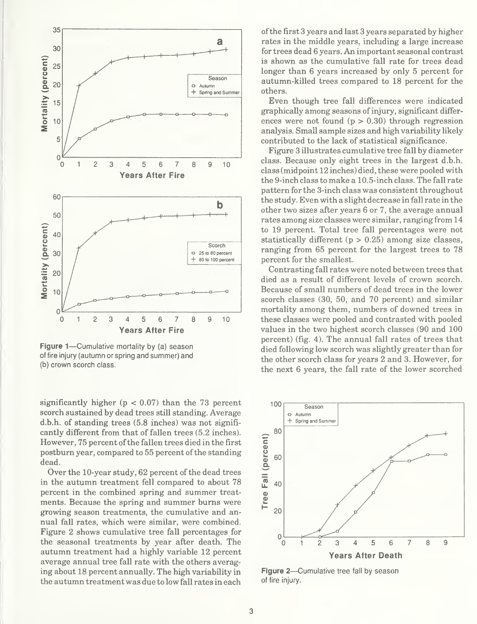

Figure 1-Cumulative mortality by (a) season of fire injury (autumn or spring and summer) and (b) crown scorch class.

significantly higher ( $p < 0.07$ ) than the 73 percent scorch sustained by dead trees still standing. Average d.b.h. of standing trees (5.8 inches) was not significantly different from that of fallen trees (5.2 inches). However, 75 percent of the fallen trees died in the first postburn year, compared to 55 percent of the standing dead.

Over the 10-year study, 62 percent of the dead trees in the autumn treatment fell compared to about 78 percent in the combined spring and summer treat ments. Because the spring and summer burns were growing season treatments, the cumulative and an nual fall rates, which were similar, were combined. Figure 2 shows cumulative tree fall percentages for the seasonal treatments by year after death. The autumn treatment had a highly variable 12 percent average annual tree fall rate with the others averaging about 18 percent annually. The high variability in the autumn treatment was due to low fall rates in each ofthe first 3 years and last 3 years separated by higher rates in the middle years, including a large increase for trees dead 6 years. An important seasonal contrast is shown as the cumulative fall rate for trees dead longer than 6 years increased by only 5 percent for autumn-killed trees compared to 18 percent for the others.

Even though tree fall differences were indicated graphically among seasons of injury, significant differ ences were not found  $(p > 0.30)$  through regression analysis. Small sample sizes and high variability likely contributed to the lack of statistical significance.

Figure 3 illustrates cumulative tree fall by diameter class. Because only eight trees in the largest d.b.h. class (midpoint 12 inches) died, these were pooled with the 9-inch class to make a 10.5-inch class. The fall rate pattern for the 3-inch class was consistent throughout the study. Even with a slight decrease in fall rate in the other two sizes after years 6 or 7, the average annual rates among size classes were similar, ranging from 14 to 19 percent. Total tree fall percentages were not statistically different ( $p > 0.25$ ) among size classes, ranging from 65 percent for the largest trees to 78 percent for the smallest.

Contrasting fall rates were noted between trees that died as a result of different levels of crown scorch. Because of small numbers of dead trees in the lower scorch classes (30, 50, and 70 percent) and similar mortality among them, numbers of downed trees in these classes were pooled and contrasted with pooled values in the two highest scorch classes (90 and 100 percent) (fig. 4). The annual fall rates of trees that died following low scorch was slightly greater than for the other scorch class for years 2 and 3. However, for the next 6 years, the fall rate of the lower scorched



Figure <sup>2</sup>—Cumulative tree fall by season of fire injury.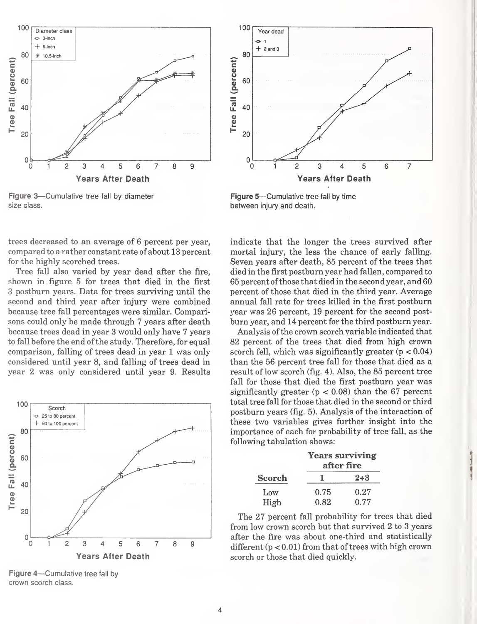

Figure <sup>3</sup>—Cumulative tree fall by diameter size class.

trees decreased to an average of 6 percent per year, compared to a rather constant rate of about 13 percent for the highly scorched trees.

Tree fall also varied by year dead after the fire, shown in figure 5 for trees that died in the first 3 postburn years. Data for trees surviving until the second and third year after injury were combined because tree fall percentages were similar. Comparisons could only be made through 7 years after death because trees dead in year 3 would only have 7 years to fall before the end of the study. Therefore, for equal comparison, falling of trees dead in year <sup>1</sup> was only considered until year 8, and falling of trees dead in year 2 was only considered until year 9. Results



Figure <sup>4</sup>—Cumulative tree fall by crown scorch class.



Figure <sup>5</sup>—Cumulative tree fall by time between injury and death.

indicate that the longer the trees survived after mortal injury, the less the chance of early falling. Seven years after death, 85 percent of the trees that died in the first postburn year had fallen, compared to 65 percent ofthose that died in the second year, and 60 percent of those that died in the third year. Average annual fall rate for trees killed in the first postburn year was 26 percent, 19 percent for the second postburn year, and 14 percent for the third postburn year.

Analysis of the crown scorch variable indicated that 82 percent of the trees that died from high crown scorch fell, which was significantly greater  $(p < 0.04)$ than the 56 percent tree fall for those that died as a result of low scorch (fig. 4). Also, the 85 percent tree fall for those that died the first postburn year was significantly greater ( $p < 0.08$ ) than the 67 percent total tree fall for those that died in the second or third postburn years (fig. 5). Analysis of the interaction of these two variables gives further insight into the importance of each for probability of tree fall, as the following tabulation shows:

| Scorch | <b>Years surviving</b><br>after fire |         |
|--------|--------------------------------------|---------|
|        |                                      | $2 + 3$ |
| Low    | 0.75                                 | 0.27    |
| High   | 0.82                                 | 0.77    |

The 27 percent fall probability for trees that died from low crown scorch but that survived 2 to 3 years after the fire was about one-third and statistically different  $(p < 0.01)$  from that of trees with high crown scorch or those that died quickly.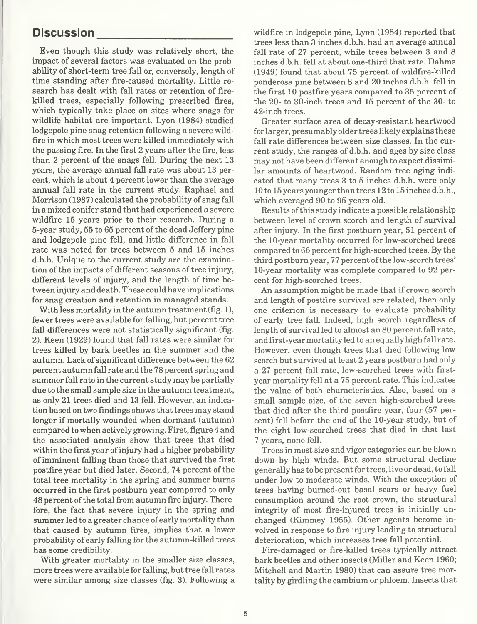#### **Discussion**

Even though this study was relatively short, the impact of several factors was evaluated on the probability of short-term tree fall or, conversely, length of time standing after fire-caused mortality. Little re search has dealt with fall rates or retention of fire killed trees, especially following prescribed fires, which typically take place on sites where snags for wildlife habitat are important. Lyon (1984) studied lodgepole pine snag retention following a severe wildfire in which most trees were killed immediately with the passing fire. In the first 2 years after the fire, less than 2 percent of the snags fell. During the next 13 years, the average annual fall rate was about 13 percent, which is about 4 percent lower than the average annual fall rate in the current study. Raphael and Morrison (1987) calculated the probability of snag fall in a mixed conifer stand that had experienced a severe wildfire 15 years prior to their research. During a 5-year study, 55 to 65 percent of the dead Jeffery pine and lodgepole pine fell, and little difference in fall rate was noted for trees between 5 and 15 inches d.b.h. Unique to the current study are the examination of the impacts of different seasons of tree injury, different levels of injury, and the length of time between injury and death. These could have implications for snag creation and retention in managed stands.

With less mortality in the autumn treatment (fig. 1), fewer trees were available for falling, but percent tree fall differences were not statistically significant (fig. 2). Keen (1929) found that fall rates were similar for trees killed by bark beetles in the summer and the autumn. Lack of significant difference between the 62 percent autumn fall rate and the 78 percent spring and summer fall rate in the current study may be partially due to the small sample size in the autumn treatment, as only 21 trees died and 13 fell. However, an indication based on two findings shows that trees may stand longer if mortally wounded when dormant (autumn) compared to when actively growing. First, figure 4 and the associated analysis show that trees that died within the first year of injury had a higher probability of imminent falling than those that survived the first postfire year but died later. Second, 74 percent of the total tree mortality in the spring and summer burns occurred in the first postburn year compared to only 48 percent ofthe total from autumn fire injury. Therefore, the fact that severe injury in the spring and summer led to a greater chance of early mortality than that caused by autumn fires, implies that a lower probability of early falling for the autumn-killed trees has some credibility.

With greater mortality in the smaller size classes, more trees were available for falling, but tree fall rates were similar among size classes (fig. 3). Following a

wildfire in lodgepole pine, Lyon (1984) reported that trees less than 3 inches d.b.h. had an average annual fall rate of 27 percent, while trees between 3 and 8 inches d.b.h. fell at about one-third that rate. Dahms (1949) found that about 75 percent of wildfire-killed ponderosa pine between 8 and 20 inches d.b.h. fell in the first 10 postfire years compared to 35 percent of the 20- to 30-inch trees and 15 percent of the 30- to 42-inch trees.

Greater surface area of decay-resistant heartwood for larger, presumably older trees likely explains these fall rate differences between size classes. In the cur rent study, the ranges of d.b.h. and ages by size class may not have been different enough to expect dissimilar amounts of heartwood. Random tree aging indicated that many trees 3 to 5 inches d.b.h. were only lOto 15 years younger than trees 12to 15 inches d.b.h., which averaged 90 to 95 years old.

Results ofthis study indicate a possible relationship between level of crown scorch and length of survival after injury. In the first postburn year, 51 percent of the 10-year mortality occurred for low-scorched trees compared to 66 percent for high-scorched trees. By the third postburn year, 77 percent ofthe low-scorch trees' 10-year mortality was complete compared to 92 per cent for high-scorched trees.

An assumption might be made that if crown scorch and length of postfire survival are related, then only one criterion is necessary to evaluate probability of early tree fall. Indeed, high scorch regardless of length of survival led to almost an 80 percent fall rate, and first-year mortality led to an equally high fall rate. However, even though trees that died following low scorch but survived at least 2 years postburn had only a 27 percent fall rate, low-scorched trees with first year mortality fell at a 75 percent rate. This indicates the value of both characteristics. Also, based on a small sample size, of the seven high-scorched trees that died after the third postfire year, four (57 percent) fell before the end of the 10-year study, but of the eight low-scorched trees that died in that last 7 years, none fell.

Trees in most size and vigor categories can be blown down by high winds. But some structural decline generally has to be present for trees, live or dead, to fall under low to moderate winds. With the exception of trees having burned-out basal scars or heavy fuel consumption around the root crown, the structural integrity of most fire-injured trees is initially un changed (Kimmey 1955). Other agents become in volved in response to fire injury leading to structural deterioration, which increases tree fall potential.

Fire-damaged or fire-killed trees typically attract bark beetles and other insects (Miller and Keen 1960; Mitchell and Martin 1980) that can assure tree mortality by girdling the cambium or phloem. Insects that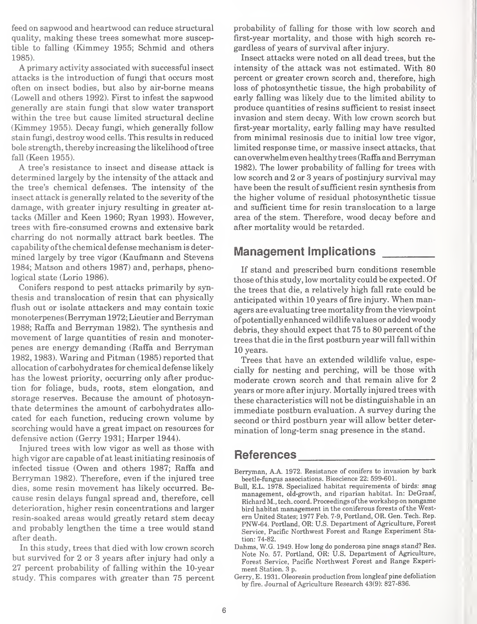feed on sapwood and heartwood can reduce structural quality, making these trees somewhat more susceptible to falling (Kimmey 1955; Schmid and others 1985).

A primary activity associated with successful insect attacks is the introduction of fungi that occurs most often on insect bodies, but also by air-borne means (Lowell and others 1992). First to infest the sapwood generally are stain fungi that slow water transport within the tree but cause limited structural decline (Kimmey 1955). Decay fungi, which generally follow stain fungi, destroy wood cells. This results in reduced bole strength, thereby increasing the likelihood oftree fall (Keen 1955).

A tree's resistance to insect and disease attack is determined largely by the intensity of the attack and the tree's chemical defenses. The intensity of the insect attack is generally related to the severity of the damage, with greater injury resulting in greater at tacks (Miller and Keen 1960; Ryan 1993). However, trees with fire-consumed crowns and extensive bark charring do not normally attract bark beetles. The capability ofthe chemical defense mechanism is determined largely by tree vigor (Kaufmann and Stevens 1984; Matson and others 1987) and, perhaps, phenological state (Lorio 1986).

Conifers respond to pest attacks primarily by synthesis and translocation of resin that can physically flush out or isolate attackers and may contain toxic monoterpenes (Berryman 1972; Lieutier and Berryman 1988; Raffa and Berryman 1982). The synthesis and movement of large quantities of resin and monoterpenes are energy demanding (Raffa and Berryman 1982, 1983). Waring and Pitman (1985) reported that allocation ofcarbohydrates for chemical defense likely has the lowest priority, occurring only after production for foliage, buds, roots, stem elongation, and storage reserves. Because the amount of photosynthate determines the amount of carbohydrates allo cated for each function, reducing crown volume by scorching would have a great impact on resources for defensive action (Gerry 1931; Harper 1944).

Injured trees with low vigor as well as those with high vigor are capable ofat least initiating resinosis of infected tissue (Owen and others 1987; Raffa and Berryman 1982). Therefore, even if the injured tree dies, some resin movement has likely occurred. Be cause resin delays fungal spread and, therefore, cell deterioration, higher resin concentrations and larger resin-soaked areas would greatly retard stem decay and probably lengthen the time a tree would stand after death.

In this study, trees that died with low crown scorch but survived for 2 or 3 years after injury had only a 27 percent probability of falling within the 10-year study. This compares with greater than 75 percent probability of falling for those with low scorch and first-year mortality, and those with high scorch re gardless of years of survival after injury.

Insect attacks were noted on all dead trees, but the intensity of the attack was not estimated. With 80 percent or greater crown scorch and, therefore, high loss of photosynthetic tissue, the high probability of early falling was likely due to the limited ability to produce quantities of resins sufficient to resist insect invasion and stem decay. With low crown scorch but first-year mortality, early falling may have resulted from minimal resinosis due to initial low tree vigor, limited response time, or massive insect attacks, that can overwhelm even healthy trees (Raffa and Berryman 1982). The lower probability of falling for trees with low scorch and 2 or 3 years of postinjury survival may have been the result of sufficient resin synthesis from the higher volume of residual photosynthetic tissue and sufficient time for resin translocation to a large area of the stem. Therefore, wood decay before and after mortality would be retarded.

#### Management Implications

If stand and prescribed burn conditions resemble those ofthis study, low mortality could be expected. Of the trees that die, a relatively high fall rate could be anticipated within 10 years of fire injury. When managers are evaluating tree mortality from the viewpoint ofpotentially enhanced wildlife values or added woody debris, they should expect that 75 to 80 percent of the trees that die in the first postburn year will fall within 10 years.

Trees that have an extended wildlife value, especially for nesting and perching, will be those with moderate crown scorch and that remain alive for 2 years or more after injury. Mortally injured trees with these characteristics will not be distinguishable in an immediate postburn evaluation. A survey during the second or third postburn year will allow better determination of long-term snag presence in the stand.

#### **References**

- Berryman, A.A. 1972. Resistance of conifers to invasion by bark beetle-fungus associations. Bioscience 22: 599-601.
- Bull, E.L. 1978. Specialized habitat requirements of birds: snag management, old-growth, and riparian habitat. In: DeGraaf, Richard M. , tech. coord. Proceedings ofthe workshop on nongame bird habitat management in the coniferous forests of the Western United States; 1977 Feb. 7-9, Portland, OR. Gen. Tech. Rep. PNW-64. Portland, OR: U.S. Department of Agriculture, Forest Service, Pacific Northwest Forest and Range Experiment Station: 74-82.
- Dahms, W.G. 1949. How long do ponderosa pine snags stand? Res. Note No. 57. Portland, OR: U.S. Department of Agriculture, Forest Service, Pacific Northwest Forest and Range Experiment Station. 3 p.
- Gerry, E. 1931. Oleoresin production from longleaf pine defoliation by fire. Journal of Agriculture Research 43(9): 827-836.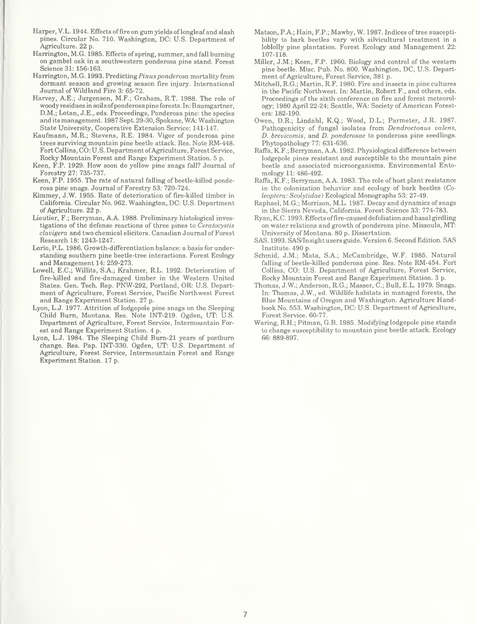- Harper, V.L. 1944. Effects of fire on gum yields of longleaf and slash pines. Circular No. 710. Washington, DC: U.S. Department of Agriculture. 22 p.
- Harrington, M.G. 1985. Effects of spring, summer, and fall burning on gambel oak in a southwestern ponderosa pine stand. Forest Science 31: 156-163.
- Harrington, M.G. 1993. Predicting Pinus ponderosa mortality from dormant season and growing season fire injury. International Journal of Wildland Fire 3: 65-72.
- Harvey, A.E.; Jurgensen, M.F.; Graham, R.T. 1988. The role of woody residues in soils ofponderosa pine forests. In: Baumgartner, D.M.; Lotan, J.E., eds. Proceedings, Ponderosa pine: the species and its management. 1987 Sept. 29-30, Spokane, WA: Washington State University, Cooperative Extension Service: 141-147.
- Kaufmann, M.R.; Stevens, R.E. 1984. Vigor of ponderosa pine trees surviving mountain pine beetle attack. Res. Note RM-448. Fort Collins, CO: U.S. Department of Agriculture, Forest Service, Rocky Mountain Forest and Range Experiment Station. 5 p.
- Keen, F.P. 1929. How soon do yellow pine snags fall? Journal of Forestry 27: 735-737.
- Keen, F.P. 1955. The rate of natural falling of beetle-killed ponderosa pine snags. Journal of Forestry 53: 720-724.
- Kimmey, J.W. 1955. Rate of deterioration of fire-killed timber in California. Circular No. 962. Washington, DC: U.S. Department of Agriculture. 22 p.
- Lieutier, F.; Berryman, A.A. 1988. Preliminary histological investigations of the defense reactions of three pines to Ceratocystis clavigera and two chemical elicitors. Canadian Journal of Forest Research 18: 1243-1247.
- Lorio, P.L. 1986. Growth-differentiation balance: a basis for under standing southern pine beetle-tree interactions. Forest Ecology and Management 14: 259-273.
- Lowell, E.C.; Willits, S.A.; Krahmer, R.L. 1992. Deterioration of fire-killed and fire-damaged timber in the Western United States. Gen. Tech. Rep. PNW-292, Portland, OR: U.S. Department of Agriculture, Forest Service, Pacific Northwest Forest and Range Experiment Station. 27 p.
- Lyon, L.J. 1977. Attrition of lodgepole pine snags on the Sleeping Child Burn, Montana. Res. Note INT-219. Ogden, UT: U.S. Department of Agriculture, Forest Service, Intermountain Forest and Range Experiment Station. 4 p.
- Lyon, L.J. 1984. The Sleeping Child Burn-21 years of postburn change. Res. Pap. INT-330. Ogden, UT: U.S. Department of Agriculture, Forest Service, Intermountain Forest and Range Experiment Station. 17 p.
- Matson, P.A.; Hain, F.P.; Mawby, W. 1987. Indices of tree susceptibility to bark beetles vary with silvicultural treatment in a loblolly pine plantation. Forest Ecology and Management 22: 107-118.
- Miller, J.M.; Keen, F.P. 1960. Biology and control of the western pine beetle. Misc. Pub. No. 800. Washington, DC, U.S. Department of Agriculture, Forest Service, 381 p.
- Mitchell, R.G.; Martin, R.F. 1980. Fire and insects in pine cultures in the Pacific Northwest. In: Martin, Robert F., and others, eds. Proceedings of the sixth conference on fire and forest meteorology; 1980 April 22-24; Seattle, WA: Society of American Foresters: 182-190.
- Owen, D.R.; Lindahl, K.Q.; Wood, D.L.; Parmeter, J.R. 1987. Pathogenicity of fungal isolates from Dendroctonus valens, D. brevicomis, and D. ponderosae to ponderosa pine seedlings. Phytopathology 77: 631-636.
- Raffa, K.F.; Berryman, A.A. 1982. Physiological difference between lodgepole pines resistant and susceptible to the mountain pine beetle and associated microorganisms. Environmental Ento mology 11: 486-492.
- Raffa, K.F.; Berryman, A.A. 1983. The role of host plant resistance in the colonization behavior and ecology of bark beetles (Coleoptera: Scolytidae) Ecological Monographs 53: 27-49.
- Raphael, M.G.; Morrison, M.L. 1987. Decay and dynamics of snags in the Sierra Nevada, California. Forest Science 33: 774-783.
- Ryan, KC. 1993. Effects offire-caused defoliation and basal girdling on water relations and growth of ponderosa pine. Missoula, MT: University of Montana. 80 p. Dissertation.
- SAS. 1993. SAS/Insight users guide. Version 6. Second Edition. SAS Institute. 490 p.
- Schmid, J.M.; Mata, S.A.; McCambridge, W.F. 1985. Natural falling of beetle-killed ponderosa pine. Res. Note RM-454. Fort Collins, CO: U.S. Department of Agriculture, Forest Service, Rocky Mountain Forest and Range Experiment Station. 3 p.
- Thomas, J.W.; Anderson, R.G.; Masser, C; Bull, E.L. 1979. Snags. In: Thomas, J.W., ed. Wildlife habitats in managed forests, the Blue Mountains of Oregon and Washington. Agriculture Handbook No. 553. Washington, DC: U.S. Department of Agriculture, Forest Service. 60-77.
- Waring, R.H.; Pitman, G.B. 1985. Modifying lodgepole pine stands to change susceptibility to mountain pine beetle attack. Ecology 66: 889-897.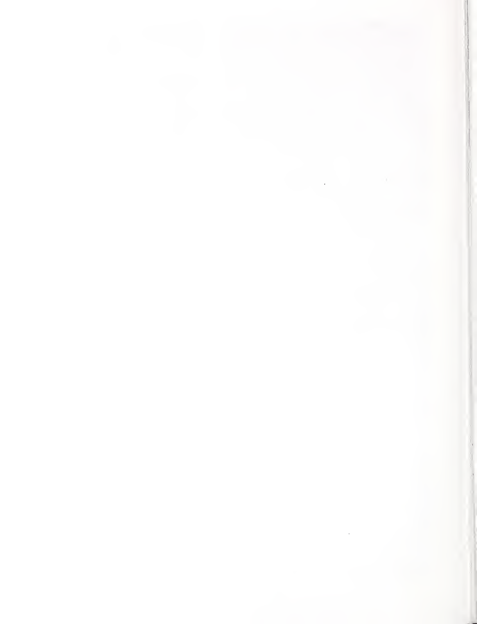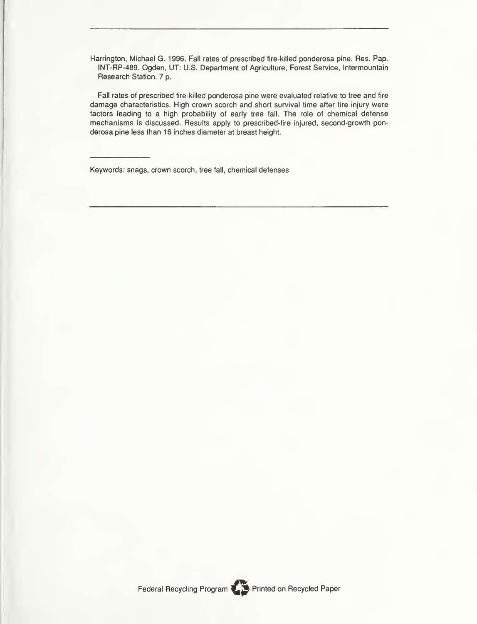Harrington, Michael G. 1996. Fall rates of prescribed fire-killed ponderosa pine. Res. Pap. INT-RP-489. Ogden, UT: U.S. Department of Agriculture, Forest Service, Intermountain Research Station. 7 p.

Fall rates of prescribed fire-killed ponderosa pine were evaluated relative to tree and fire damage characteristics. High crown scorch and short survival time after fire injury were factors leading to a high probability of early tree fall. The role of chemical defense mechanisms is discussed. Results apply to prescribed-fire injured, second-growth pon derosa pine less than 16 inches diameter at breast height.

Keywords: snags, crown scorch, tree fall, chemical defenses